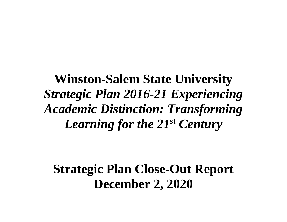**Winston-Salem State University**  *Strategic Plan 2016-21 Experiencing Academic Distinction: Transforming Learning for the 21st Century*

**Strategic Plan Close-Out Report December 2, 2020**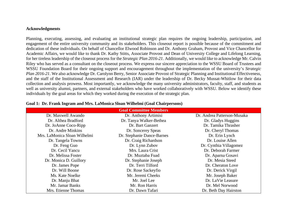#### **Acknowledgments**

Planning, executing, assessing, and evaluating an institutional strategic plan requires the ongoing leadership, participation, and engagement of the entire university community and its stakeholders. This closeout report is possible because of the commitment and dedication of these individuals. On behalf of Chancellor Elwood Robinson and Dr. Anthony Graham, Provost and Vice Chancellor for Academic Affairs, we would like to thank Dr. Kathy Stitts, Associate Provost and Dean of University College and Lifelong Learning, for her tireless leadership of the closeout process for the *Strategic Plan 2016-21*. Additionally, we would like to acknowledge Mr. Calvin Riley who has served as a consultant on the closeout process. We express our sincere appreciation to the WSSU Board of Trustees and WSSU Foundation Board for their ongoing support and encouragement throughout the implementation of the university's *Strategic Plan 2016-21*. We also acknowledge Dr. Carolynn Berry, Senior Associate Provost of Strategic Planning and Institutional Effectiveness, and the staff of the Institutional Assessment and Research (IAR) under the leadership of Dr. Becky Mussat-Whitlow for their data collection and analysis prowess. Most importantly, we acknowledge the many university administrators, faculty, staff, and students as well as university alumni, partners, and external stakeholders who have worked collaboratively with WSSU. Below we identify these individuals by the goal areas for which they worked during the execution of the strategic plan.

| <b>Goal Committee Members</b> |                            |                             |  |  |
|-------------------------------|----------------------------|-----------------------------|--|--|
| Dr. Maxwell Awando            | Dr. Anthony Artimisi       | Dr. Andrea Patterson-Musaka |  |  |
| Dr. Althea Bradford           | Dr. Tanya Walker-Bethea    | Dr. Gladys Huggins          |  |  |
| Dr. JoAnne Coco-Ripp          | Dr. Bart Ganzert           | Dr. Tamika Thrasher         |  |  |
| Dr. Andre Minkins             | Dr. Soncerey Speas         | Dr. Cheryl Thomas           |  |  |
| Mrs. LaMonica Sloan Wilhelmi  | Dr. Stephanie Dance-Barnes | Dr. Erin Lynch              |  |  |
| Dr. Tangela Towns             | Dr. Craig Richardson       | Dr. Louise Allen            |  |  |
| Dr. Feng Guo                  | Dr. Lynn Zubov             | Dr. Cynthia Villagomez      |  |  |
| Dr. Cecil Yancu               | Mrs. Laura Crist           | Dr. Deborah Farmer          |  |  |
| Dr. Melissa Foster            | Dr. Muztaba Fuad           | Dr. Aparna Gosavi           |  |  |
| Dr. Monica D. Guillory        | Dr. Stephanie Joseph       | Dr. Mesia Steed             |  |  |
| Dr. James Pope                | Dr. Terri Tilford          | Dr. Cheraton Love           |  |  |
| Dr. Will Boone                | Dr. Rose Sackeyfio         | Dr. Derick Virgil           |  |  |
| Ms. Kate Noelke               | Mr. Jeremi Cheeks          | Mr. Joseph Baker            |  |  |
| Dr. Manju Bhat                | Mr. Joel Lee               | Dr. LaVie Leasure           |  |  |
| Mr. Jamar Banks               | Mr. Ron Harris             | Dr. Mel Norwood             |  |  |
| Mrs. Etienne Thomas           | Dr. Dawn Tafari            | Dr. Beth Day Hairston       |  |  |

#### **Goal 1: Dr. Frank Ingram and Mrs. LaMonica Sloan Wilhelmi (Goal Chairpersons)**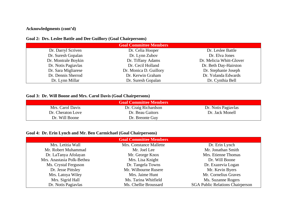## **Acknowledgments (cont'd)**

## **Goal 2: Drs. Leslee Battle and Dee Guillory (Goal Chairpersons)**

| <b>Goal Committee Members</b> |                        |                          |  |
|-------------------------------|------------------------|--------------------------|--|
| Dr. Darryl Scriven            | Dr. Celia Hooper       | Dr. Leslee Battle        |  |
| Dr. Suresh Gopalan            | Dr. Lynn Zubov         | Dr. Elva Jones           |  |
| Dr. Montrale Boykin           | Dr. Tiffany Adams      | Dr. Melicia Whitt-Glover |  |
| Dr. Notis Pagiavlas           | Dr. Cecil Holland      | Dr. Beth Day-Hairston    |  |
| Dr. Sara Migliarese           | Dr. Monica D. Guillory | Dr. Stephanie Joseph     |  |
| Dr. Dennis Sherrod            | Dr. Kerwin Graham      | Dr. Yolanda Edwards      |  |
| Dr. Lynn Millar               | Dr. Suresh Gopalan     | Dr. Cynthia Bell         |  |

#### **Goal 3: Dr. Will Boone and Mrs. Carol Davis (Goal Chairpersons)**

| <b>Goal Committee Members</b> |                      |                     |  |
|-------------------------------|----------------------|---------------------|--|
| Mrs. Carol Davis              | Dr. Craig Richardson | Dr. Notis Pagiavlas |  |
| Dr. Cheraton Love             | Dr. Beau Gaitors     | Dr. Jack Monell     |  |
| Dr. Will Boone                | Dr. Breonte Guy      |                     |  |

# **Goal 4: Dr. Erin Lynch and Mr. Ben Carmichael (Goal Chairpersons)**

| <b>Goal Committee Members</b> |                         |                                         |  |
|-------------------------------|-------------------------|-----------------------------------------|--|
| Mrs. Letitia Wall             | Mrs. Constance Mallette | Dr. Erin Lynch                          |  |
| Mr. Robert Muhammad           | Mr. Joel Lee            | Mr. Jonathan Smith                      |  |
| Dr. LaTanya Afolayan          | Mr. George Knox         | Mrs. Etienne Thomas                     |  |
| Mrs. Anastasia Polk-Bethea    | Mrs. Lisa Knight        | Dr. Will Boone                          |  |
| Ms. Crystal Ferguson          | Dr. Tangela Towns       | Dr. Exazevia Logan                      |  |
| Dr. Jesse Pittsley            | Mr. Wilbourne Rusere    | Mr. Kevin Byers                         |  |
| Mrs. Latoya Wiley             | Mrs. Jaime Hunt         | Mr. Cornelius Graves                    |  |
| Mrs. Sigrid Hall              | Ms. Tarina Whitfield    | Ms. Suzanne Rogers                      |  |
| Dr. Notis Pagiavlas           | Ms. Chellie Broussard   | <b>SGA Public Relations Chairperson</b> |  |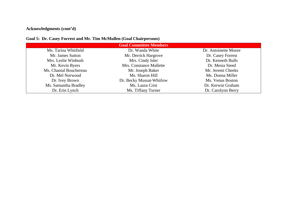# **Acknowledgments (cont'd)**

# **Goal 5: Dr. Casey Forrest and Mr. Tim McMullen (Goal Chairpersons)**

| <b>Goal Committee Members</b> |                          |                      |  |  |
|-------------------------------|--------------------------|----------------------|--|--|
| Ms. Tarina Whitfield          | Dr. Wanda White          | Dr. Antoinette Moore |  |  |
| Mr. James Sutton              | Mr. Derrick Hargrove     | Dr. Casey Forrest    |  |  |
| Mrs. Leslie Winbush           | Mrs. Cindy Isler         | Dr. Kenneth Bulls    |  |  |
| Mr. Kevin Byers               | Mrs. Constance Mallette  | Dr. Mesia Steed      |  |  |
| Ms. Chantal Bouchereau        | Mr. Joseph Baker         | Mr. Jeremi Cheeks    |  |  |
| Dr. Mel Norwood               | Ms. Sharon Hill          | Ms. Donna Miller     |  |  |
| Dr. Ivey Brown                | Dr. Becky Mussat-Whitlow | Ms. Venus Boston     |  |  |
| Ms. Samantha Bradley          | Ms. Laura Crist          | Dr. Kerwin Graham    |  |  |
| Dr. Erin Lynch                | Ms. Tiffany Turner       | Dr. Carolynn Berry   |  |  |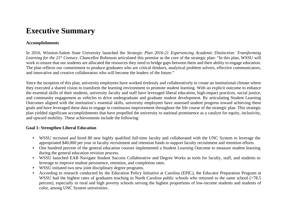# **Executive Summary**

#### **Accomplishments**

In 2016, Winston-Salem State University launched the *Strategic Plan 2016-21 Experiencing Academic Distinction: Transforming Learning for the 21<sup>st</sup> Century*. Chancellor Robinson articulated this premise as the core of the strategic plan: "In this plan, WSSU will work to ensure that our students are allocated the resources they need to bridge gaps between them and their ability to engage education. The plan reflects our commitment to produce graduates who are critical thinkers, analytical problem solvers, effective communicators, and innovative and creative collaborators who will become the leaders of the future."

Since the inception of this plan, university employees have worked tirelessly and collaboratively to create an institutional climate where they executed a shared vision to transform the learning environment to promote student learning. With an explicit outcome to enhance the essential skills of their students, university faculty and staff have leveraged liberal education, high-impact practices, social justice, and community engagement as vehicles to drive undergraduate and graduate student development. By articulating Student Learning Outcomes aligned with the institution's essential skills, university employees have assessed student progress toward achieving these goals and have leveraged these data to engage in continuous improvement throughout the life course of the strategic plan. This strategic plan yielded significant accomplishments that have propelled the university to national prominence as a catalyst for equity, inclusivity, and upward mobility. These achievements include the following:

#### **Goal 1: Strengthen Liberal Education**

- WSSU recruited and hired 80 new highly qualified full-time faculty and collaborated with the UNC System to leverage the appropriated \$40,000 per year in faculty recruitment and retention funds to support faculty recruitment and retention efforts.
- One hundred percent of the general education courses implemented a Student Learning Outcome to measure student learning during the general education revision process.
- WSSU launched EAB Navigate Student Success Collaborative and Degree Works as tools for faculty, staff, and students to leverage to improve student persistence, retention, and completion rates.
- WSSU initiated two new joint disciplinary degree programs.
- According to research conducted by the Education Policy Initiative at Carolina (EPIC), the Educator Preparation Program at WSSU had the highest rates of graduates teaching in North Carolina public schools who returned to the same school (>78.5) percent), especially in rural and high poverty schools serving the highest proportions of low-income students and students of color, among UNC System universities.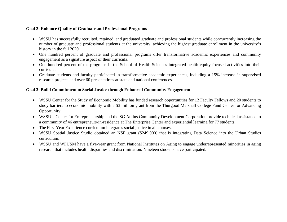#### **Goal 2: Enhance Quality of Graduate and Professional Programs**

- WSSU has successfully recruited, retained, and graduated graduate and professional students while concurrently increasing the number of graduate and professional students at the university, achieving the highest graduate enrollment in the university's history in the fall 2020.
- One hundred percent of graduate and professional programs offer transformative academic experiences and community engagement as a signature aspect of their curricula.
- One hundred percent of the programs in the School of Health Sciences integrated health equity focused activities into their curricula.
- Graduate students and faculty participated in transformative academic experiences, including a 15% increase in supervised research projects and over 60 presentations at state and national conferences.

#### **Goal 3: Build Commitment to Social Justice through Enhanced Community Engagement**

- WSSU Center for the Study of Economic Mobility has funded research opportunities for 12 Faculty Fellows and 20 students to study barriers to economic mobility with a \$3 million grant from the Thurgood Marshall College Fund Center for Advancing Opportunity.
- WSSU's Center for Entrepreneurship and the SG Atkins Community Development Corporation provide technical assistance to a community of 46 entrepreneurs-in-residence at The Enterprise Center and experiential learning for 77 students.
- The First Year Experience curriculum integrates social justice in all courses.
- WSSU Spatial Justice Studio obtained an NSF grant (\$249,000) that is integrating Data Science into the Urban Studies curriculum.
- WSSU and WFUSM have a five-year grant from National Institutes on Aging to engage underrepresented minorities in aging research that includes health disparities and discrimination. Nineteen students have participated.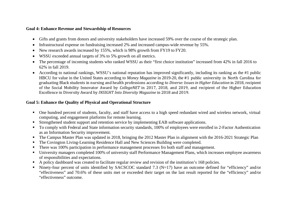#### **Goal 4: Enhance Revenue and Stewardship of Resources**

- Gifts and grants from donors and university stakeholders have increased 59% over the course of the strategic plan.
- Infrastructural expense on fundraising increased 2% and increased campus-wide revenue by 55%.
- New research awards increased by 155%, which is 98% growth from FY19 to FY20.
- WSSU exceeded annual targets of 3% to 5% growth on all metrics.
- The percentage of incoming students who ranked WSSU as their "first choice institution" increased from 42% in fall 2016 to 62% in fall 2019.
- According to national rankings, WSSU's national reputation has improved significantly, including its ranking as the #1 public HBCU for value in the United States according to *Money Magazine* in 2019-20, the #1 public university in North Carolina for graduating Black students in nursing and health professions according to *Diverse: Issues in Higher Education* in 2018, recipient of the Social Mobility Innovator Award by *CollegeNET* in 2017, 2018, and 2019, and recipient of the Higher Education Excellence in Diversity Award by *INSIGHT Into Diversity Magazine* in 2018 and 2019.

# **Goal 5: Enhance the Quality of Physical and Operational Structure**

- One hundred percent of students, faculty, and staff have access to a high speed redundant wired and wireless network, virtual computing, and engagement platforms for remote learning.
- Strengthened student support and retention service by implementing EAB software applications.
- To comply with Federal and State information security standards, 100% of employees were enrolled in 2-Factor Authentication as an Information Security improvement.
- The Campus Master Plan was updated in 2018, bringing the 2012 Master Plan in alignment with the 2016-2021 Strategic Plan
- The Covington Living-Learning Residence Hall and New Sciences Building were completed.
- There was 100% participation in performance management processes fro both staff and management.
- University managers completed 100% of university staff Performance Management Plans, which increases employee awareness of responsibilities and expectations.
- A policy dashboard was created to facilitate regular review and revision of the institution's 168 policies.
- Ninety-four percent of units identified by SACSCOC standard 7.3 ( $N=17$ ) have an outcome defined for "efficiency" and/or "effectiveness" and 70.6% of these units met or exceeded their target on the last result reported for the "efficiency" and/or "effectiveness" outcome.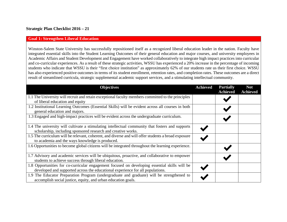#### **Strategic Plan Checklist 2016 – 21**

#### **Goal 1: Strengthen Liberal Education**

Winston-Salem State University has successfully repositioned itself as a recognized liberal education leader in the nation. Faculty have integrated essential skills into the Student Learning Outcomes of their general education and major courses, and university employees in Academic Affairs and Student Development and Engagement have worked collaboratively to integrate high impact practices into curricular and co-curricular experiences. As a result of these strategic activities, WSSU has experienced a 20% increase in the percentage of incoming students who indicate that WSSU is their "first choice institution" as approximately 62% of our students rate us their first choice. WSSU has also experienced positive outcomes in terms of its student enrollment, retention rates, and completion rates. These outcomes are a direct result of streamlined curricula, strategic supplemental academic support services, and a stimulating intellectual community.

| <b>Objectives</b>                                                                                                                                                               | <b>Achieved</b> | <b>Partially</b><br><b>Achieved</b> | <b>Not</b><br><b>Achieved</b> |
|---------------------------------------------------------------------------------------------------------------------------------------------------------------------------------|-----------------|-------------------------------------|-------------------------------|
| 1.1 The University will recruit and retain exceptional faculty members committed to the principles<br>of liberal education and equity                                           |                 |                                     |                               |
| 1.2 Institutional Learning Outcomes (Essential Skills) will be evident across all courses in both<br>general education and majors.                                              |                 |                                     |                               |
| 1.3 Engaged and high-impact practices will be evident across the undergraduate curriculum.                                                                                      |                 |                                     |                               |
| 1.4 The university will cultivate a stimulating intellectual community that fosters and supports<br>scholarship, including sponsored research and creative works.               |                 |                                     |                               |
| 1.5 The curriculum will be relevant, coherent, and diverse and will offer students a broad exposure<br>to academia and the ways knowledge is produced.                          |                 |                                     |                               |
| 1.6 Opportunities to become global citizens will be integrated throughout the learning experience.                                                                              |                 |                                     |                               |
| 1.7 Advisory and academic services will be ubiquitous, proactive, and collaborative to empower<br>students to achieve success through liberal education.                        |                 |                                     |                               |
| 1.8 Opportunities for co-curricular engagement focused on developing essential skills will be<br>developed and supported across the educational experience for all populations. |                 |                                     |                               |
| 1.9 The Educator Preparation Program (undergraduate and graduate) will be strengthened to<br>accomplish social justice, equity, and urban education goals.                      |                 |                                     |                               |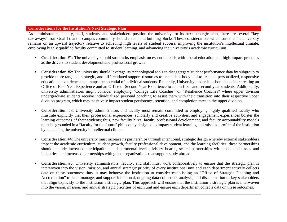#### **Considerations for the Institution's Next Strategic Plan**

As administrators, faculty, staff, students, and stakeholders position the university for its next strategic plan, there are several "key takeaways" from Goal 1 that the campus community should consider as building blocks. These considerations will ensure that the university remains on an upward trajectory relative to achieving high levels of student success, improving the institution's intellectual climate, employing highly qualified faculty committed to student learning, and advancing the university's academic curriculum.

- **Consideration #1**: The university should sustain its emphasis on essential skills with liberal education and high-impact practices as the drivers to student development and professional growth.
- **Consideration #2**: The university should leverage its technological tools to disaggregate student performance data by subgroup to provide more targeted, strategic, and differentiated support resources to its student body and to create a personalized, responsive educational experience that untaps the potential of individual students. Relatedly, University leadership should consider creating an Office of First Year Experience and an Office of Second Year Experience to retain first- and second-year students. Additionally, university administrators might consider employing "College Life Coaches" or "Resilience Coaches" where upper division undergraduate students receive individualized personal coaching to assist them with their transition into their respective upper division program, which may positively impact student persistence, retention, and completion rates in the upper division.
- **Consideration #3**: University administrators and faculty must remain committed to employing highly qualified faculty who illustrate explicitly that their professional experiences, scholarly and creative activities, and engagement experiences bolster the learning outcomes of their students; thus, new faculty hires, faculty professional development, and faculty accountability models must be grounded in a "faculty for the future" philosophy designed to impact student learning and raise the profile of the institution by enhancing the university's intellectual climate.
- **Consideration #4**: The university must increase its partnerships through intentional, strategic design whereby external stakeholders impact the academic curriculum, student growth, faculty professional development, and the learning facilities; these partnerships should include increased participation on departmental-level advisory boards, scaled partnerships with local businesses and industries, and increased partnerships with global organizations that support study abroad.
- **Consideration #5**: University administrators, faculty, and staff must work collaboratively to ensure that the strategic plan is interwoven into the vision, mission, and annual strategic priority of every institutional unit and each department actively collects data on these outcomes; thus, it may behoove the institution to consider establishing an "Office of Strategic Planning and Accreditation" to lead, manage, and support intentional, ongoing data collection, analysis, and dissemination to key stakeholders that align explicitly to the institution's strategic plan. This approach will ensure that the institution's strategic plan is interwoven into the vision, mission, and annual strategic priorities of each unit and ensure each department collects data on these outcomes.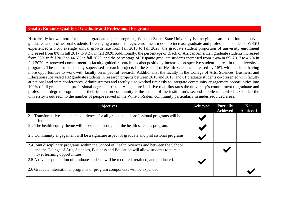#### **Goal 2: Enhance Quality of Graduate and Professional Programs**

Historically known more for its undergraduate degree programs, Winston-Salem State University is emerging as an institution that serves graduates and professional students. Leveraging a more strategic enrollment model to increase graduate and professional students, WSSU experienced a 3.6% average annual growth rate from fall 2016 to fall 2020; the graduate student proportion of university enrollment increased from 8% in fall 2017 to 9.2% in fall 2020. Additionally, the percentage of Black or African American graduate students increased from 38% in fall 2017 to 44.5% in fall 2020, and the percentage of Hispanic graduate students increased from 3.4% in fall 2017 to 4.7% in fall 2020. A renewed commitment to faculty-guided research has also positively increased prospective student interest in the university's programs. The number of faculty-supervised research projects in the School of Health Sciences increased by 15% with students having more opportunities to work with faculty on impactful research. Additionally, the faculty in the College of Arts, Sciences, Business, and Education supervised 132 graduate students in research projects between 2016 and 2019, and 61 graduate students co-presented with faculty at national and state conferences. Administrators and faculty also worked tirelessly to integrate community engagement opportunities into 100% of all graduate and professional degree curricula. A signature initiative that illustrates the university's commitment to graduate and professional degree programs and their impact on community is the launch of the institution's second mobile unit, which expanded the university's outreach to the number of people served in the Winston-Salem community particularly in underresourced areas.

| <b>Objectives</b>                                                                                                                                                                                                       | <b>Achieved</b> | <b>Partially</b><br><b>Achieved</b> | <b>Not</b><br><b>Achieved</b> |
|-------------------------------------------------------------------------------------------------------------------------------------------------------------------------------------------------------------------------|-----------------|-------------------------------------|-------------------------------|
| 2.1 Transformative academic experiences for all graduate and professional programs will be<br>offered.                                                                                                                  |                 |                                     |                               |
| 2.2 The health equity theme will be evident throughout the health sciences program.                                                                                                                                     |                 |                                     |                               |
| 2.3 Community engagement will be a signature aspect of graduate and professional programs.                                                                                                                              |                 |                                     |                               |
| 2.4 Joint disciplinary programs within the School of Health Sciences and between the School<br>and the College of Arts, Sciences, Business and Education will allow students to pursue<br>novel learning opportunities. |                 |                                     |                               |
| 2.5 A diverse population of graduate students will be recruited, retained, and graduated.                                                                                                                               |                 |                                     |                               |
| 2.6 Graduate international programs or program components will be expanded.                                                                                                                                             |                 |                                     |                               |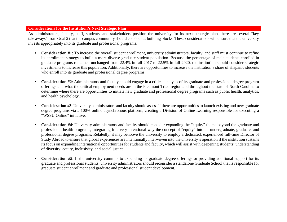#### **Considerations for the Institution's Next Strategic Plan**

As administrators, faculty, staff, students, and stakeholders position the university for its next strategic plan, there are several "key takeaways" from Goal 2 that the campus community should consider as building blocks. These considerations will ensure that the university invests appropriately into its graduate and professional programs.

- **Consideration #1**: To increase the overall student enrollment, university administrators, faculty, and staff must continue to refine its enrollment strategy to build a more diverse graduate student population. Because the percentage of male students enrolled in graduate programs remained unchanged from 22.4% in fall 2017 to 22.5% in fall 2020, the institution should consider strategic investments to increase this population. Additionally, there are opportunities to increase the institution's share of Hispanic students who enroll into its graduate and professional degree programs.
- **Consideration #2**: Administrators and faculty should engage in a critical analysis of its graduate and professional degree program offerings and what the critical employment needs are in the Piedmont Triad region and throughout the state of North Carolina to determine where there are opportunities to initiate new graduate and professional degree programs such as public health, analytics, and health psychology.
- **Consideration #3**: University administrators and faculty should assess if there are opportunities to launch existing and new graduate degree programs via a 100% online asynchronous platform, creating a Division of Online Learning responsible for executing a "WSSU Online" initiative.
- **Consideration #4**: University administrators and faculty should consider expanding the "equity" theme beyond the graduate and professional health programs, integrating in a very intentional way the concept of "equity" into all undergraduate, graduate, and professional degree programs. Relatedly, it may behoove the university to employ a dedicated, experienced full-time Director of Study Abroad to ensure that global experiences are intentionally interwoven into the university's operation if the institution sustains its focus on expanding international opportunities for students and faculty, which will assist with deepening students' understanding of diversity, equity, inclusivity, and social justice.
- **Consideration #5**: If the university commits to expanding its graduate degree offerings or providing additional support for its graduate and professional students, university administrators should reconsider a standalone Graduate School that is responsible for graduate student enrollment and graduate and professional student development.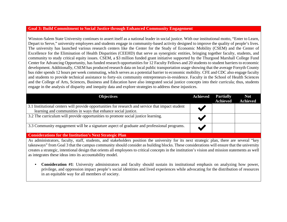#### **Goal 3: Build Commitment to Social Justice through Enhanced Community Engagement**

Winston-Salem State University continues to assert itself as a national leader in social justice. With our institutional motto, "Enter to Learn, Depart to Serve," university employees and students engage in community-based activity designed to improve the quality of people's lives. The university has launched various research centers like the Center for the Study of Economic Mobility (CSEM) and the Center of Excellence for the Elimination of Health Disparities (CEEHD) that serve as synergistic entities, bringing together faculty, students, and community to study critical equity issues. CSEM, a \$3 million funded grant initiative supported by the Thurgood Marshall College Fund Center for Advancing Opportunity, has funded research opportunities for 12 Faculty Fellows and 20 students to student barriers to economic development. Additionally, CSEM has produced research data on local public transportation usage showing that the average Forsyth County bus rider spends 12 hours per week commuting, which serves as a potential barrier to economic mobility. CFE and CDC also engage faculty and students to provide technical assistance to forty-six community entrepreneurs-in-residence. Faculty in the School of Health Sciences and the College of Arts, Sciences, Business and Education have also integrated social justice concepts into their curricula; thus, students engage in the analysis of disparity and inequity data and explore strategies to address these injustices.

| <b>Objectives</b>                                                                                                                                                  | <b>Achieved</b> | <b>Partially</b><br><b>Achieved</b> | <b>Not</b><br><b>Achieved</b> |
|--------------------------------------------------------------------------------------------------------------------------------------------------------------------|-----------------|-------------------------------------|-------------------------------|
| 3.1 Institutional centers will provide opportunities for research and service that impact student<br>learning and communities in ways that enhance social justice. |                 |                                     |                               |
| 3.2 The curriculum will provide opportunities to promote social justice learning.                                                                                  |                 |                                     |                               |
| 3.3 Community engagement will be a signature aspect of graduate and professional programs.                                                                         |                 |                                     |                               |
| <b>Considerations for the Institution's Next Strategic Plan</b>                                                                                                    |                 |                                     |                               |

As administrators, faculty, staff, students, and stakeholders position the university for its next strategic plan, there are several "key takeaways" from Goal 3 that the campus community should consider as building blocks. These considerations will ensure that the university creates a strategic, intentional design that orients all employees to critical concepts in the institution's vision and mission statements as well as integrates these ideas into its accountability model.

• **Consideration #1**: University administrators and faculty should sustain its institutional emphasis on analyzing how power, privilege, and oppression impact people's social identities and lived experiences while advocating for the distribution of resources in an equitable way for all members of society.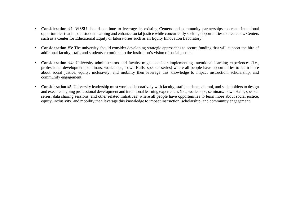- **Consideration #2**: WSSU should continue to leverage its existing Centers and community partnerships to create intentional opportunities that impact student learning and enhance social justice while concurrently seeking opportunities to create new Centers such as a Center for Educational Equity or laboratories such as an Equity Innovation Laboratory.
- **Consideration #3**: The university should consider developing strategic approaches to secure funding that will support the hire of additional faculty, staff, and students committed to the institution's vision of social justice.
- **Consideration #4**: University administrators and faculty might consider implementing intentional learning experiences (i.e., professional development, seminars, workshops, Town Halls, speaker series) where all people have opportunities to learn more about social justice, equity, inclusivity, and mobility then leverage this knowledge to impact instruction, scholarship, and community engagement.
- Consideration #5: University leadership must work collaboratively with faculty, staff, students, alumni, and stakeholders to design and execute ongoing professional development and intentional learning experiences (i.e., workshops, seminars, Town Halls, speaker series, data sharing sessions, and other related initiatives) where all people have opportunities to learn more about social justice, equity, inclusivity, and mobility then leverage this knowledge to impact instruction, scholarship, and community engagement.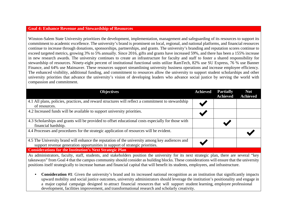#### **Goal 4: Enhance Revenue and Stewardship of Resources**

Winston-Salem State University prioritizes the development, implementation, management and safeguarding of its resources to support its commitment to academic excellence. The university's brand is prominent on local, regional, and national platforms, and financial resources continue to increase through donations, sponsorships, partnerships, and grants. The university's branding and reputation scores continue to exceed targeted metrics, growing 3% to 5% annually. Since 2016, gifts and grants have increased 59%, and there has been a 155% increase in new research awards. The university continues to create an infrastructure for faculty and staff to foster a shared responsibility for stewardship of resources. Ninety-eight percent of institutional functional units utilize RamTech, 82% use SU Express, 76 % use Banner Finance, and 64% use Mainsaver. These resources support streamlining university business operations and increase employee efficiency. The enhanced visibility, additional funding, and commitment to resources allow the university to support student scholarships and other university priorities that advance the university's vision of developing leaders who advance social justice by serving the world with compassion and commitment.

| <b>Objectives</b>                                                                                                                                                              | <b>Achieved</b> | <b>Partially</b><br><b>Achieved</b> | <b>Not</b><br><b>Achieved</b> |
|--------------------------------------------------------------------------------------------------------------------------------------------------------------------------------|-----------------|-------------------------------------|-------------------------------|
| 4.1 All plans, policies, practices, and reward structures will reflect a commitment to stewardship<br>of resources.                                                            |                 |                                     |                               |
| 4.2 Increased funds will be available to support university priorities.                                                                                                        |                 |                                     |                               |
| 4.3 Scholarships and grants will be provided to offset educational costs especially for those with<br>financial hardship.                                                      |                 |                                     |                               |
| 4.4 Processes and procedures for the strategic application of resources will be evident.                                                                                       |                 |                                     |                               |
| 4.5 The University brand will enhance the reputation of the university among key audiences and<br>support revenue generation opportunities in support of strategic priorities. |                 |                                     |                               |
| <b>Considerations for the Institution's Next Strategic Plan</b>                                                                                                                |                 |                                     |                               |

As administrators, faculty, staff, students, and stakeholders position the university for its next strategic plan, there are several "key takeaways" from Goal 4 that the campus community should consider as building blocks. These considerations will ensure that the university positions itself strategically to increase human and financial capital that will benefit its students, employees, and infrastructure.

• **Consideration #1**: Given the university's brand and its increased national recognition as an institution that significantly impacts upward mobility and social justice outcomes, university administrators should leverage the institution's positionality and engage in a major capital campaign designed to attract financial resources that will support student learning, employee professional development, facilities improvement, and transformational research and scholarly creativity.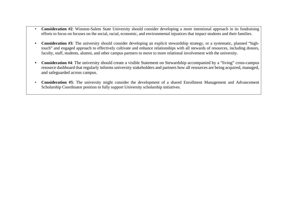- **Consideration #2**: Winston-Salem State University should consider developing a more intentional approach in its fundraising efforts to focus on focuses on the social, racial, economic, and environmental injustices that impact students and their families.
- **Consideration #3**: The university should consider developing an explicit stewardship strategy, or a systematic, planned "hightouch" and engaged approach to effectively cultivate and enhance relationships with all stewards of resources, including donors, faculty, staff, students, alumni, and other campus partners to move to more relational involvement with the university.
- **Consideration #4**: The university should create a visible Statement on Stewardship accompanied by a "living" cross-campus resource dashboard that regularly informs university stakeholders and partners how all resources are being acquired, managed, and safeguarded across campus.
- **Consideration #5**: The university might consider the development of a shared Enrollment Management and Advancement Scholarship Coordinator position to fully support University scholarship initiatives.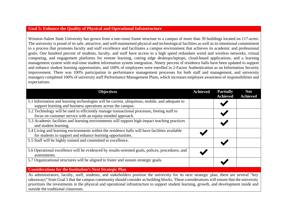#### **Goal 5: Enhance the Quality of Physical and Operational Infrastructure**

Winston-Salem State University has grown from a one-room frame structure to a campus of more than 39 buildings located on 117-acres. The university is proud of its safe, attractive, and well-maintained physical and technological facilities as well as its intentional commitment to a process that promotes faculty and staff excellence and facilitates a campus environment that achieves its academic and professional goals. One hundred percent of students, faculty, and staff have access to a high speed redundant wired and wireless networks, virtual computing, and engagement platforms for remote learning, cutting edge desktops/laptops, cloud-based applications, and a learning management system with real-time student information system integration. Ninety percent of residence halls have been updated to support and enhance student learning opportunities, and 100% of employees were enrolled in 2-Factor Authentication as an Information Security improvement. There was 100% participation in performance management processes for both staff and management, and university managers completed 100% of university staff Performance Management Plans, which increases employee awareness of responsibilities and expectations.

| <b>Objectives</b>                                                                                                                                             | <b>Achieved</b> | <b>Partially</b><br><b>Achieved</b> | <b>Not</b><br><b>Achieved</b> |
|---------------------------------------------------------------------------------------------------------------------------------------------------------------|-----------------|-------------------------------------|-------------------------------|
| 5.1 Information and learning technologies will be current, ubiquitous, mobile, and adequate to<br>support learning and business operations across the campus. |                 |                                     |                               |
| 5.2 Technology will be used to efficiently manage transactional processes, freeing staff to<br>focus on customer service with an equity-minded approach.      |                 |                                     |                               |
| 5.3 Academic facilities and learning environments will support high-impact teaching practices<br>and student learning.                                        |                 |                                     |                               |
| 5.4 Living and learning environments within the residence halls will have facilities available<br>for students to support and enhance learning opportunities. |                 |                                     |                               |
| 5.5 Staff will be highly trained and committed to excellence.                                                                                                 |                 |                                     |                               |
| 5.6 Operational excellence will be evidenced by results-oriented goals, polices, procedures, and<br>assessments.                                              |                 |                                     |                               |
| 5.7 Organizational structures will be aligned to foster and sustain strategic goals.                                                                          |                 |                                     |                               |
| <b>Considerations for the Institution's Next Strategic Plan</b>                                                                                               |                 |                                     |                               |
| As administrators, faculty, staff, students, and stakeholders position the university for its next strategic plan, there are several "key"                    |                 |                                     |                               |

As administrators, faculty, staff, students, and stakeholders position the university for its next strategic plan, there are several "key takeaways" from Goal 5 that the campus community should consider as building blocks. These considerations will ensure that the university prioritizes the investments in the physical and operational infrastructure to support student learning, growth, and development inside and outside the traditional classroom.